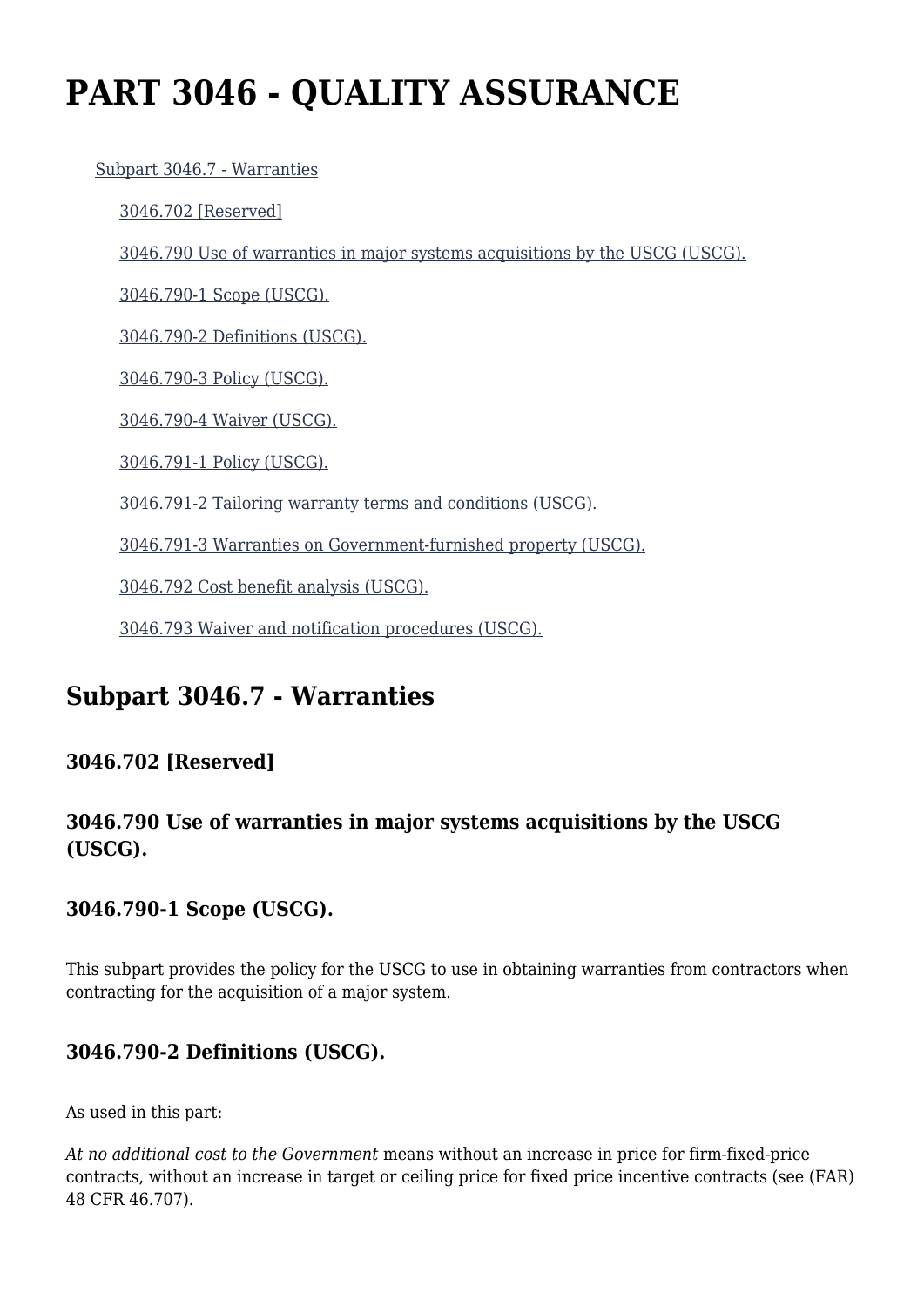# **PART 3046 - QUALITY ASSURANCE**

#### [Subpart 3046.7 - Warranties](https://origin-www.acquisition.gov/%5Brp:link:hsar-part-3046%5D#Subpart_3046_7_T48_70214451)

[3046.702 \[Reserved\]](https://origin-www.acquisition.gov/%5Brp:link:hsar-part-3046%5D#Section_3046_702_T48_7021445111)

[3046.790 Use of warranties in major systems acquisitions by the USCG \(USCG\).](https://origin-www.acquisition.gov/%5Brp:link:hsar-part-3046%5D#Section_3046_790_T48_7021445112)

[3046.790-1 Scope \(USCG\).](https://origin-www.acquisition.gov/%5Brp:link:hsar-part-3046%5D#Section_3046_790_1_T48_7021445113)

[3046.790-2 Definitions \(USCG\).](https://origin-www.acquisition.gov/%5Brp:link:hsar-part-3046%5D#Section_3046_790_2_T48_7021445114)

[3046.790-3 Policy \(USCG\).](https://origin-www.acquisition.gov/%5Brp:link:hsar-part-3046%5D#Section_3046_790_3_T48_7021445115)

[3046.790-4 Waiver \(USCG\).](https://origin-www.acquisition.gov/%5Brp:link:hsar-part-3046%5D#Section_3046_790_4_T48_7021445116)

[3046.791-1 Policy \(USCG\).](https://origin-www.acquisition.gov/%5Brp:link:hsar-part-3046%5D#Section_3046_791_1_T48_7021445117)

[3046.791-2 Tailoring warranty terms and conditions \(USCG\).](https://origin-www.acquisition.gov/%5Brp:link:hsar-part-3046%5D#Section_3046_791_2_T48_7021445118)

[3046.791-3 Warranties on Government-furnished property \(USCG\).](https://origin-www.acquisition.gov/%5Brp:link:hsar-part-3046%5D#Section_3046_791_3_T48_7021445119)

[3046.792 Cost benefit analysis \(USCG\).](https://origin-www.acquisition.gov/%5Brp:link:hsar-part-3046%5D#Section_3046_792_T48_70214451110)

[3046.793 Waiver and notification procedures \(USCG\).](https://origin-www.acquisition.gov/%5Brp:link:hsar-part-3046%5D#Section_3046_793_T48_70214451111)

## **Subpart 3046.7 - Warranties**

#### **3046.702 [Reserved]**

#### **3046.790 Use of warranties in major systems acquisitions by the USCG (USCG).**

#### **3046.790-1 Scope (USCG).**

This subpart provides the policy for the USCG to use in obtaining warranties from contractors when contracting for the acquisition of a major system.

#### **3046.790-2 Definitions (USCG).**

As used in this part:

*At no additional cost to the Government* means without an increase in price for firm-fixed-price contracts, without an increase in target or ceiling price for fixed price incentive contracts (see (FAR) 48 CFR 46.707).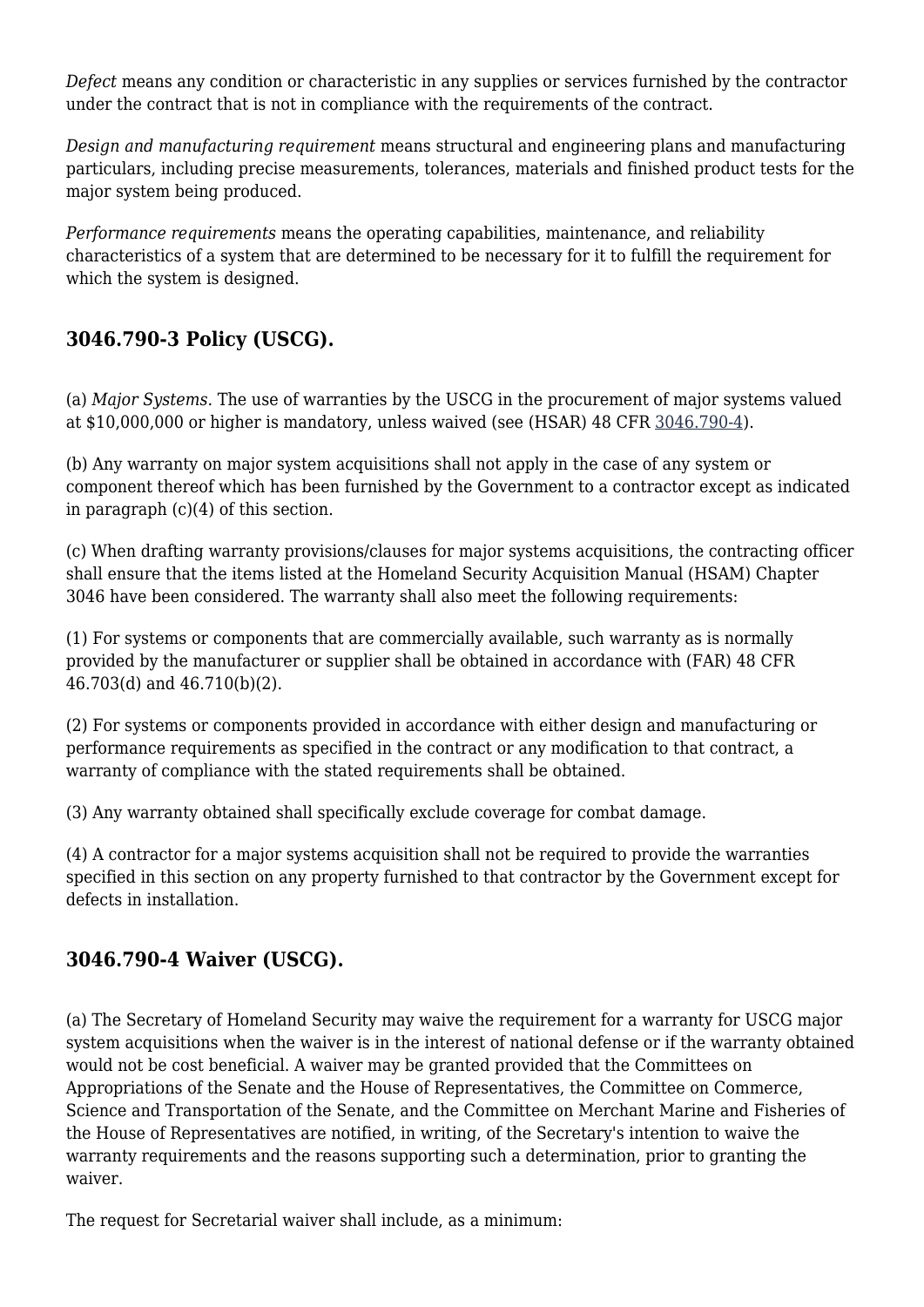*Defect* means any condition or characteristic in any supplies or services furnished by the contractor under the contract that is not in compliance with the requirements of the contract.

*Design and manufacturing requirement* means structural and engineering plans and manufacturing particulars, including precise measurements, tolerances, materials and finished product tests for the major system being produced.

*Performance requirements* means the operating capabilities, maintenance, and reliability characteristics of a system that are determined to be necessary for it to fulfill the requirement for which the system is designed.

#### **3046.790-3 Policy (USCG).**

(a) *Major Systems.* The use of warranties by the USCG in the procurement of major systems valued at \$10,000,000 or higher is mandatory, unless waived (see (HSAR) 48 CFR [3046.790-4](https://origin-www.acquisition.gov/%5Brp:link:hsar-part-3046%5D#Section_3046_790_4_T48_7021445116)).

(b) Any warranty on major system acquisitions shall not apply in the case of any system or component thereof which has been furnished by the Government to a contractor except as indicated in paragraph (c)(4) of this section.

(c) When drafting warranty provisions/clauses for major systems acquisitions, the contracting officer shall ensure that the items listed at the Homeland Security Acquisition Manual (HSAM) Chapter 3046 have been considered. The warranty shall also meet the following requirements:

(1) For systems or components that are commercially available, such warranty as is normally provided by the manufacturer or supplier shall be obtained in accordance with (FAR) 48 CFR 46.703(d) and 46.710(b)(2).

(2) For systems or components provided in accordance with either design and manufacturing or performance requirements as specified in the contract or any modification to that contract, a warranty of compliance with the stated requirements shall be obtained.

(3) Any warranty obtained shall specifically exclude coverage for combat damage.

(4) A contractor for a major systems acquisition shall not be required to provide the warranties specified in this section on any property furnished to that contractor by the Government except for defects in installation.

#### **3046.790-4 Waiver (USCG).**

(a) The Secretary of Homeland Security may waive the requirement for a warranty for USCG major system acquisitions when the waiver is in the interest of national defense or if the warranty obtained would not be cost beneficial. A waiver may be granted provided that the Committees on Appropriations of the Senate and the House of Representatives, the Committee on Commerce, Science and Transportation of the Senate, and the Committee on Merchant Marine and Fisheries of the House of Representatives are notified, in writing, of the Secretary's intention to waive the warranty requirements and the reasons supporting such a determination, prior to granting the waiver.

The request for Secretarial waiver shall include, as a minimum: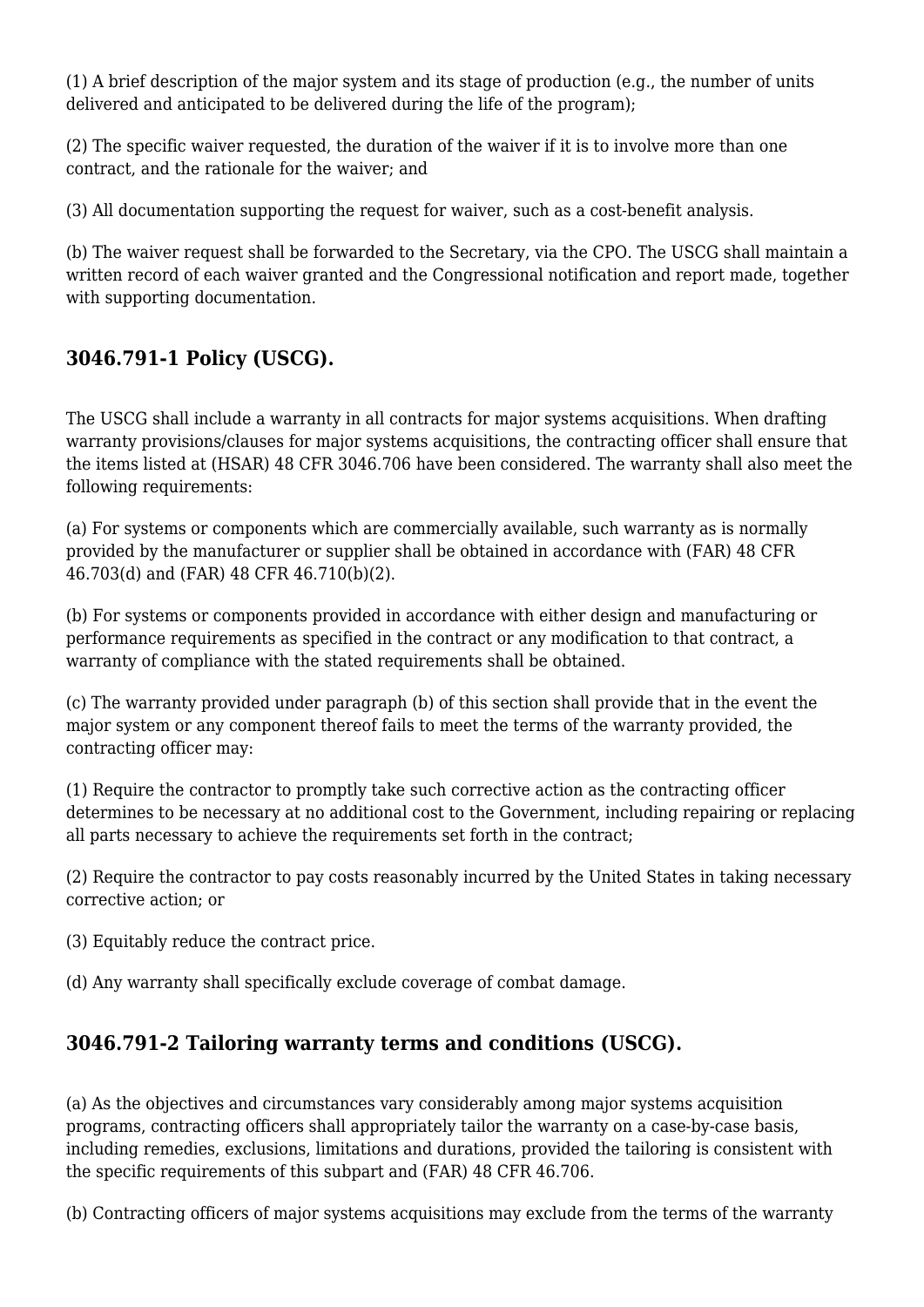(1) A brief description of the major system and its stage of production (e.g., the number of units delivered and anticipated to be delivered during the life of the program);

(2) The specific waiver requested, the duration of the waiver if it is to involve more than one contract, and the rationale for the waiver; and

(3) All documentation supporting the request for waiver, such as a cost-benefit analysis.

(b) The waiver request shall be forwarded to the Secretary, via the CPO. The USCG shall maintain a written record of each waiver granted and the Congressional notification and report made, together with supporting documentation.

#### **3046.791-1 Policy (USCG).**

The USCG shall include a warranty in all contracts for major systems acquisitions. When drafting warranty provisions/clauses for major systems acquisitions, the contracting officer shall ensure that the items listed at (HSAR) 48 CFR 3046.706 have been considered. The warranty shall also meet the following requirements:

(a) For systems or components which are commercially available, such warranty as is normally provided by the manufacturer or supplier shall be obtained in accordance with (FAR) 48 CFR 46.703(d) and (FAR) 48 CFR 46.710(b)(2).

(b) For systems or components provided in accordance with either design and manufacturing or performance requirements as specified in the contract or any modification to that contract, a warranty of compliance with the stated requirements shall be obtained.

(c) The warranty provided under paragraph (b) of this section shall provide that in the event the major system or any component thereof fails to meet the terms of the warranty provided, the contracting officer may:

(1) Require the contractor to promptly take such corrective action as the contracting officer determines to be necessary at no additional cost to the Government, including repairing or replacing all parts necessary to achieve the requirements set forth in the contract;

(2) Require the contractor to pay costs reasonably incurred by the United States in taking necessary corrective action; or

(3) Equitably reduce the contract price.

(d) Any warranty shall specifically exclude coverage of combat damage.

### **3046.791-2 Tailoring warranty terms and conditions (USCG).**

(a) As the objectives and circumstances vary considerably among major systems acquisition programs, contracting officers shall appropriately tailor the warranty on a case-by-case basis, including remedies, exclusions, limitations and durations, provided the tailoring is consistent with the specific requirements of this subpart and (FAR) 48 CFR 46.706.

(b) Contracting officers of major systems acquisitions may exclude from the terms of the warranty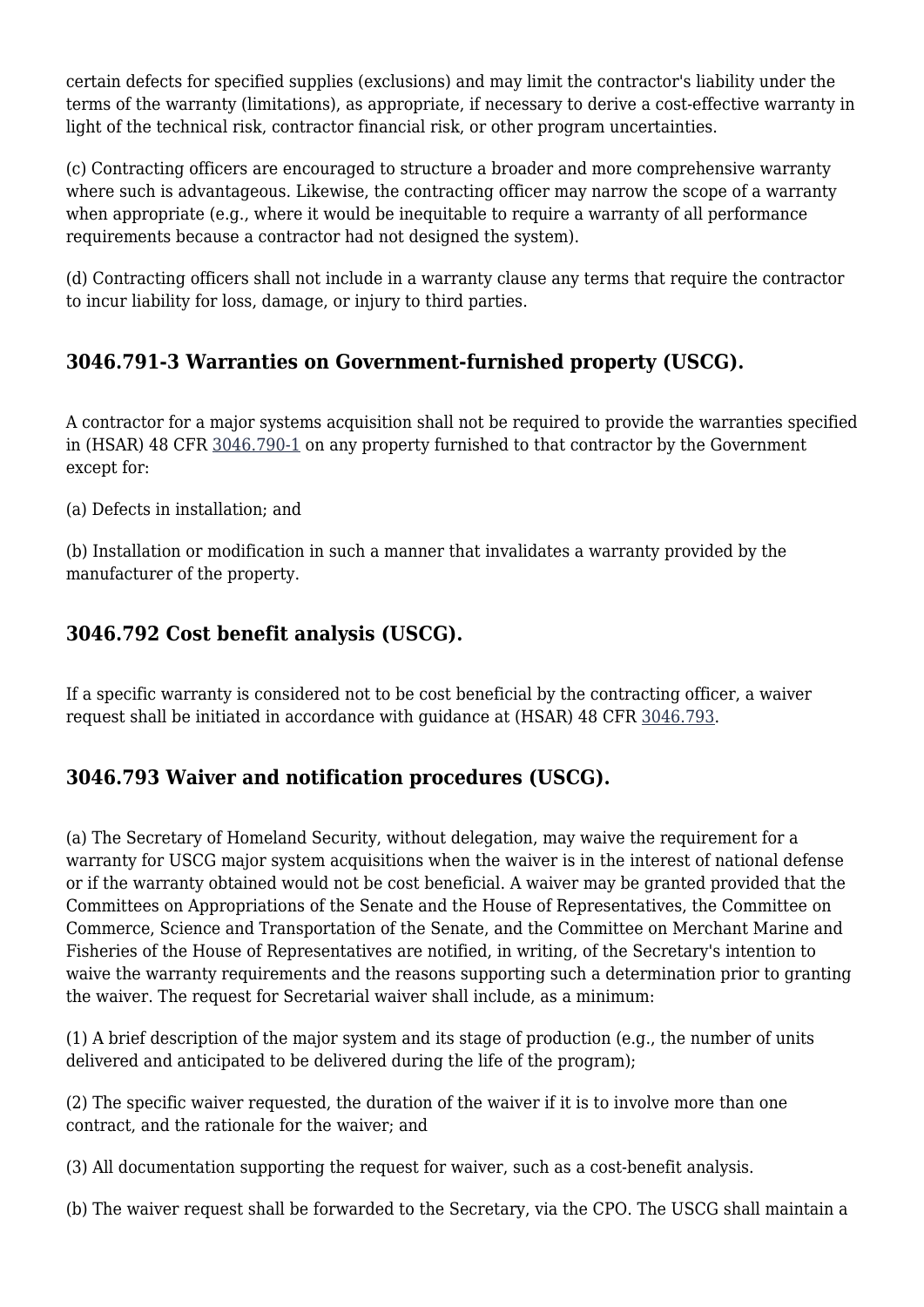certain defects for specified supplies (exclusions) and may limit the contractor's liability under the terms of the warranty (limitations), as appropriate, if necessary to derive a cost-effective warranty in light of the technical risk, contractor financial risk, or other program uncertainties.

(c) Contracting officers are encouraged to structure a broader and more comprehensive warranty where such is advantageous. Likewise, the contracting officer may narrow the scope of a warranty when appropriate (e.g., where it would be inequitable to require a warranty of all performance requirements because a contractor had not designed the system).

(d) Contracting officers shall not include in a warranty clause any terms that require the contractor to incur liability for loss, damage, or injury to third parties.

#### **3046.791-3 Warranties on Government-furnished property (USCG).**

A contractor for a major systems acquisition shall not be required to provide the warranties specified in (HSAR) 48 CFR [3046.790-1](https://origin-www.acquisition.gov/%5Brp:link:hsar-part-3046%5D#Section_3046_790_1_T48_7021445113) on any property furnished to that contractor by the Government except for:

(a) Defects in installation; and

(b) Installation or modification in such a manner that invalidates a warranty provided by the manufacturer of the property.

#### **3046.792 Cost benefit analysis (USCG).**

If a specific warranty is considered not to be cost beneficial by the contracting officer, a waiver request shall be initiated in accordance with guidance at (HSAR) 48 CFR [3046.793.](https://origin-www.acquisition.gov/%5Brp:link:hsar-part-3046%5D#Section_3046_793_T48_70214451111)

#### **3046.793 Waiver and notification procedures (USCG).**

(a) The Secretary of Homeland Security, without delegation, may waive the requirement for a warranty for USCG major system acquisitions when the waiver is in the interest of national defense or if the warranty obtained would not be cost beneficial. A waiver may be granted provided that the Committees on Appropriations of the Senate and the House of Representatives, the Committee on Commerce, Science and Transportation of the Senate, and the Committee on Merchant Marine and Fisheries of the House of Representatives are notified, in writing, of the Secretary's intention to waive the warranty requirements and the reasons supporting such a determination prior to granting the waiver. The request for Secretarial waiver shall include, as a minimum:

(1) A brief description of the major system and its stage of production (e.g., the number of units delivered and anticipated to be delivered during the life of the program);

(2) The specific waiver requested, the duration of the waiver if it is to involve more than one contract, and the rationale for the waiver; and

(3) All documentation supporting the request for waiver, such as a cost-benefit analysis.

(b) The waiver request shall be forwarded to the Secretary, via the CPO. The USCG shall maintain a